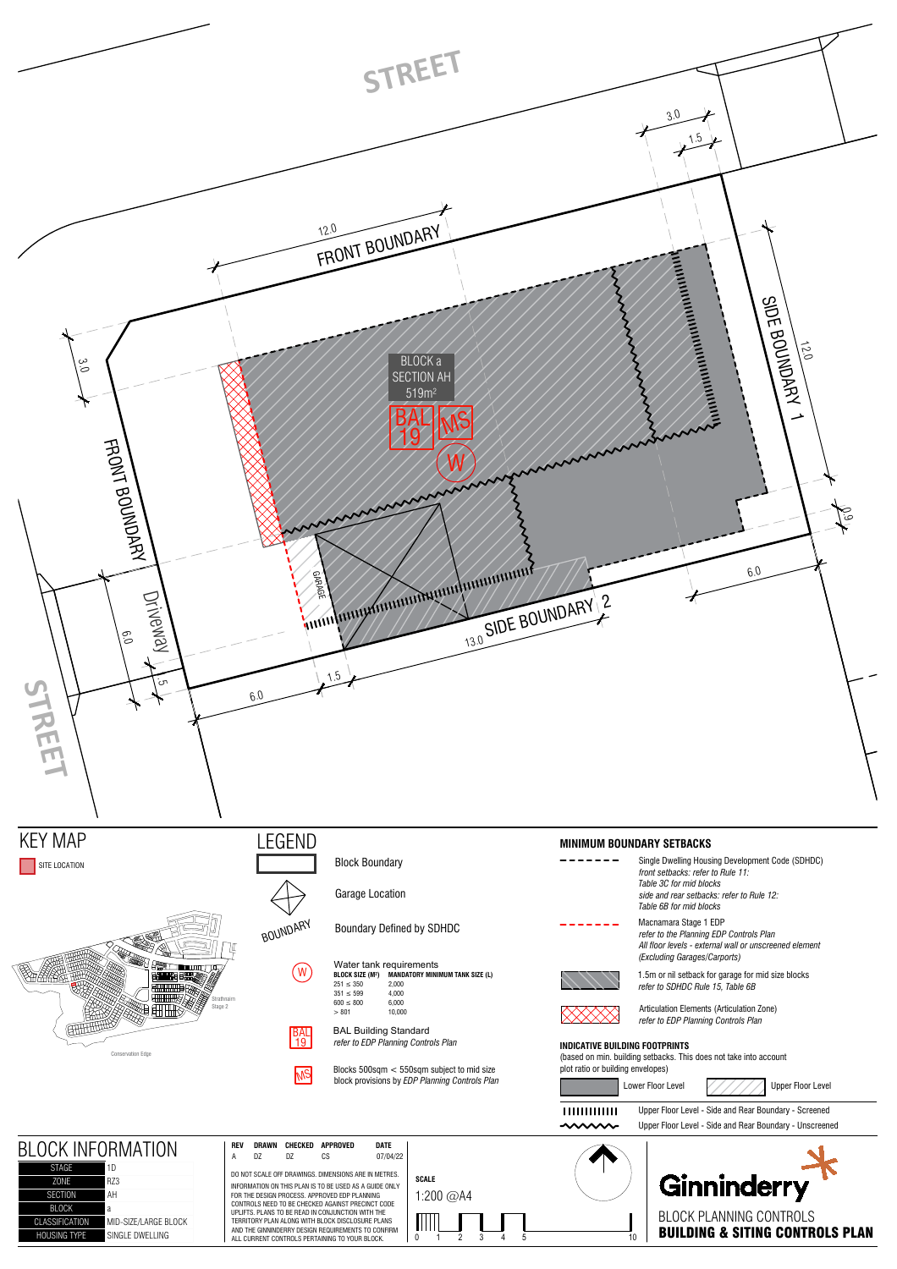